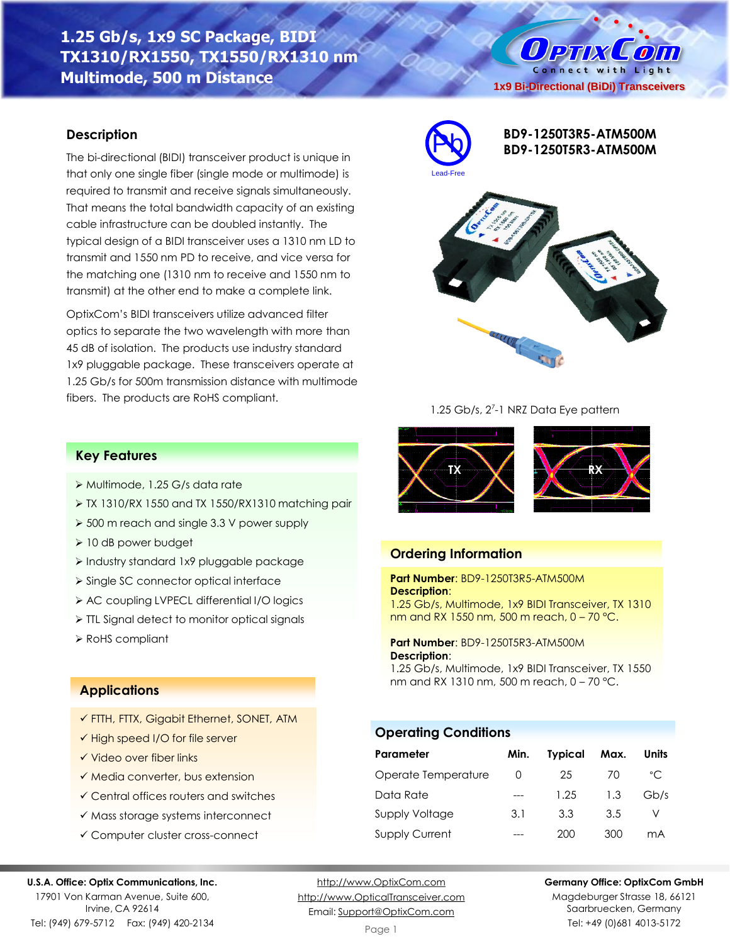# **1.25 Gb/s, 1x9 SC Package, BIDI TX1310/RX1550, TX1550/RX1310 nm Multimode, 500 m Distance**

#### **Description**

The bi-directional (BIDI) transceiver product is unique in that only one single fiber (single mode or multimode) is required to transmit and receive signals simultaneously. That means the total bandwidth capacity of an existing cable infrastructure can be doubled instantly. The typical design of a BIDI transceiver uses a 1310 nm LD to transmit and 1550 nm PD to receive, and vice versa for the matching one (1310 nm to receive and 1550 nm to transmit) at the other end to make a complete link.

OptixCom's BIDI transceivers utilize advanced filter optics to separate the two wavelength with more than 45 dB of isolation. The products use industry standard 1x9 pluggable package. These transceivers operate at 1.25 Gb/s for 500m transmission distance with multimode fibers. The products are RoHS compliant.



**1x9 Bi-Directional (BiDi) Transceivers**

O PTIX COM Connect with Light

#### 1.25 Gb/s, 2<sup>7</sup>-1 NRZ Data Eye pattern



### **Ordering Information**

#### **Part Number**: BD9-1250T3R5-ATM500M **Description**:

1.25 Gb/s, Multimode, 1x9 BIDI Transceiver, TX 1310 nm and RX 1550 nm, 500 m reach, 0 – 70 °C.

**Part Number**: BD9-1250T5R3-ATM500M **Description**:

1.25 Gb/s, Multimode, 1x9 BIDI Transceiver, TX 1550 nm and RX 1310 nm, 500 m reach, 0 – 70 °C.

### **Operating Conditions**

| Parameter             | Min.     | <b>Typical</b> | Max. | <b>Units</b> |
|-----------------------|----------|----------------|------|--------------|
| Operate Temperature   | $\left($ | 25             | 70   | °C           |
| Data Rate             |          | 1.25           | 1.3  | Gb/s         |
| Supply Voltage        | 3.1      | 3.3            | 3.5  |              |
| <b>Supply Current</b> |          | 200            | 300  | mA           |

#### **Germany Office: OptixCom GmbH**

Magdeburger Strasse 18, 66121 Saarbruecken, Germany Tel: +49 (0)681 4013-5172

#### **Key Features**

- ➢ Multimode, 1.25 G/s data rate
- ➢ TX 1310/RX 1550 and TX 1550/RX1310 matching pair
- ➢ 500 m reach and single 3.3 V power supply
- ➢ 10 dB power budget
- ➢ Industry standard 1x9 pluggable package
- ➢ Single SC connector optical interface
- ➢ AC coupling LVPECL differential I/O logics
- ➢ TTL Signal detect to monitor optical signals
- ➢ RoHS compliant

# **Applications**

- ✓ FTTH, FTTX, Gigabit Ethernet, SONET, ATM
- ✓ High speed I/O for file server
- ✓ Video over fiber links
- ✓ Media converter, bus extension
- ✓ Central offices routers and switches
- ✓ Mass storage systems interconnect
- ✓ Computer cluster cross-connect

#### **U.S.A. Office: Optix Communications, Inc.**

17901 Von Karman Avenue, Suite 600, Irvine, CA 92614 Tel: (949) 679-5712 Fax: (949) 420-2134

[http://www.OptixCom.com](http://www.optixcom.com/) [http://www.OpticalTransceiver.com](http://www.optoictech.com/) Email: [Support@OptixCom.com](mailto:Support@optoICtech.com)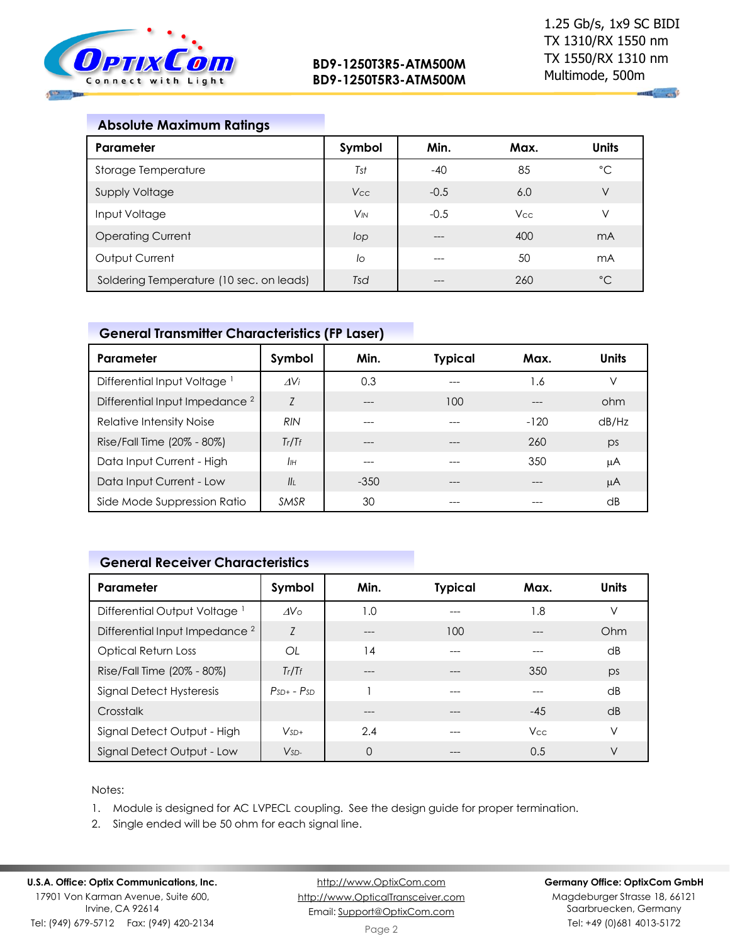

**All and** 

| <b>Absolute Maximum Ratings</b> |  |
|---------------------------------|--|
|---------------------------------|--|

| Parameter                                | Symbol                | Min.   | Max.       | <b>Units</b> |
|------------------------------------------|-----------------------|--------|------------|--------------|
| Storage Temperature                      | Tst                   | $-40$  | 85         | $^{\circ}C$  |
| <b>Supply Voltage</b>                    | Vcc                   | $-0.5$ | 6.0        | $\vee$       |
| Input Voltage                            | <b>V<sub>IN</sub></b> | $-0.5$ | <b>Vcc</b> | ν            |
| <b>Operating Current</b>                 | lop                   |        | 400        | mA           |
| Output Current                           | lo                    |        | 50         | mA           |
| Soldering Temperature (10 sec. on leads) | Tsd                   |        | 260        | $^{\circ}C$  |

# **General Transmitter Characteristics (FP Laser)**

| Parameter                                 | Symbol        | Min.   | <b>Typical</b> | Max.   | <b>Units</b> |
|-------------------------------------------|---------------|--------|----------------|--------|--------------|
| Differential Input Voltage <sup>1</sup>   | $\Delta V_i$  | 0.3    |                | 1.6    |              |
| Differential Input Impedance <sup>2</sup> | Z             | ---    | 100            |        | ohm          |
| Relative Intensity Noise                  | <b>RIN</b>    |        |                | $-120$ | dB/Hz        |
| Rise/Fall Time (20% - 80%)                | Tr/Tr         | ---    |                | 260    | ps           |
| Data Input Current - High                 | IІн           | ---    |                | 350    | μA           |
| Data Input Current - Low                  | $\mathbf{II}$ | $-350$ |                |        | μA           |
| Side Mode Suppression Ratio               | <b>SMSR</b>   | 30     |                |        | dB           |

# **General Receiver Characteristics**

| Parameter                                 | Symbol          | Min. | <b>Typical</b> | Max.       | <b>Units</b>    |
|-------------------------------------------|-----------------|------|----------------|------------|-----------------|
| Differential Output Voltage <sup>1</sup>  | AV <sub>0</sub> | 1.0  |                | 1.8        | ν               |
| Differential Input Impedance <sup>2</sup> | Z               |      | 100            |            | Ohm             |
| <b>Optical Return Loss</b>                | OL              | 14   |                |            | $\overline{AB}$ |
| Rise/Fall Time (20% - 80%)                | Tr/Tr           |      |                | 350        | ps              |
| Signal Detect Hysteresis                  | $PsD + - PSD$   |      |                |            | $\overline{AB}$ |
| Crosstalk                                 |                 |      |                | $-45$      | dB              |
| Signal Detect Output - High               | $V_{SD+}$       | 2.4  |                | <b>Vcc</b> | V               |
| Signal Detect Output - Low                | $VSD-$          | 0    |                | 0.5        | V               |

#### Notes:

- 1. Module is designed for AC LVPECL coupling. See the design guide for proper termination.
- 2. Single ended will be 50 ohm for each signal line.

[http://www.OptixCom.com](http://www.optixcom.com/) [http://www.OpticalTransceiver.com](http://www.optoictech.com/) Email: [Support@OptixCom.com](mailto:Support@optoICtech.com)

#### **Germany Office: OptixCom GmbH**

Magdeburger Strasse 18, 66121 Saarbruecken, Germany Tel: +49 (0)681 4013-5172